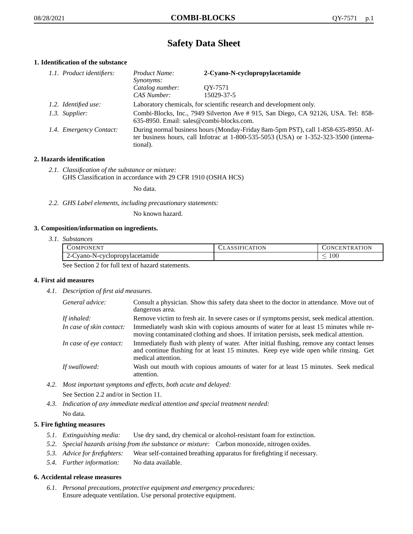# **Safety Data Sheet**

# **1. Identification of the substance**

| 1.1. Product identifiers: | Product Name:<br><i>Synonyms:</i>                                                                                                                                                           | 2-Cyano-N-cyclopropylacetamide |
|---------------------------|---------------------------------------------------------------------------------------------------------------------------------------------------------------------------------------------|--------------------------------|
|                           | Catalog number:<br>CAS Number:                                                                                                                                                              | OY-7571<br>15029-37-5          |
| 1.2. Identified use:      | Laboratory chemicals, for scientific research and development only.                                                                                                                         |                                |
| 1.3. Supplier:            | Combi-Blocks, Inc., 7949 Silverton Ave # 915, San Diego, CA 92126, USA. Tel: 858-<br>635-8950. Email: sales@combi-blocks.com.                                                               |                                |
| 1.4. Emergency Contact:   | During normal business hours (Monday-Friday 8am-5pm PST), call 1-858-635-8950. Af-<br>ter business hours, call Infotrac at $1-800-535-5053$ (USA) or $1-352-323-3500$ (interna-<br>tional). |                                |

# **2. Hazards identification**

*2.1. Classification of the substance or mixture:* GHS Classification in accordance with 29 CFR 1910 (OSHA HCS)

No data.

*2.2. GHS Label elements, including precautionary statements:*

No known hazard.

### **3. Composition/information on ingredients.**

*3.1. Substances*

| COMPONENT                                                                                                                                                                                     | <b>CLASSIFICATION</b> | <b>CONCENTRATION</b> |
|-----------------------------------------------------------------------------------------------------------------------------------------------------------------------------------------------|-----------------------|----------------------|
| Cyano-N-cyclopropylacetamide<br>2-C                                                                                                                                                           |                       | 00ء                  |
| $\alpha_{12}$ , $\alpha_{21}$ , $\alpha_{32}$ , $\alpha_{41}$ , $\alpha_{51}$ , $\alpha_{61}$ , $\alpha_{71}$ , $\alpha_{81}$ , $\alpha_{10}$ , $\alpha_{11}$ , $\alpha_{12}$ , $\alpha_{13}$ |                       |                      |

See Section 2 for full text of hazard statements.

### **4. First aid measures**

*4.1. Description of first aid measures.*

| General advice:          | Consult a physician. Show this safety data sheet to the doctor in attendance. Move out of<br>dangerous area.                                                                                            |
|--------------------------|---------------------------------------------------------------------------------------------------------------------------------------------------------------------------------------------------------|
| If inhaled:              | Remove victim to fresh air. In severe cases or if symptoms persist, seek medical attention.                                                                                                             |
| In case of skin contact: | Immediately wash skin with copious amounts of water for at least 15 minutes while re-<br>moving contaminated clothing and shoes. If irritation persists, seek medical attention.                        |
| In case of eye contact:  | Immediately flush with plenty of water. After initial flushing, remove any contact lenses<br>and continue flushing for at least 15 minutes. Keep eye wide open while rinsing. Get<br>medical attention. |
| If swallowed:            | Wash out mouth with copious amounts of water for at least 15 minutes. Seek medical<br>attention.                                                                                                        |

*4.2. Most important symptoms and effects, both acute and delayed:*

See Section 2.2 and/or in Section 11.

*4.3. Indication of any immediate medical attention and special treatment needed:* No data.

# **5. Fire fighting measures**

- *5.1. Extinguishing media:* Use dry sand, dry chemical or alcohol-resistant foam for extinction.
- *5.2. Special hazards arising from the substance or mixture:* Carbon monoxide, nitrogen oxides.
- *5.3. Advice for firefighters:* Wear self-contained breathing apparatus for firefighting if necessary.
- *5.4. Further information:* No data available.

### **6. Accidental release measures**

*6.1. Personal precautions, protective equipment and emergency procedures:* Ensure adequate ventilation. Use personal protective equipment.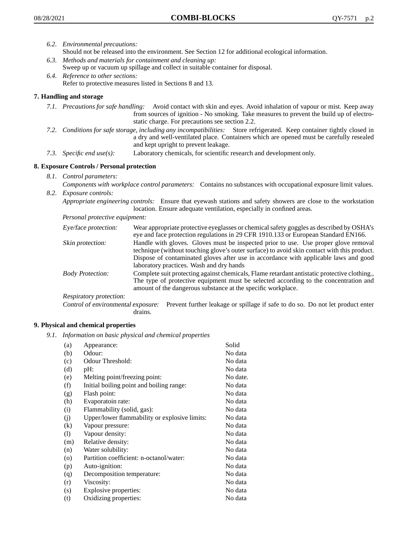- *6.2. Environmental precautions:*
	- Should not be released into the environment. See Section 12 for additional ecological information.
- *6.3. Methods and materials for containment and cleaning up:* Sweep up or vacuum up spillage and collect in suitable container for disposal.
- *6.4. Reference to other sections:* Refer to protective measures listed in Sections 8 and 13.

# **7. Handling and storage**

- *7.1. Precautions for safe handling:* Avoid contact with skin and eyes. Avoid inhalation of vapour or mist. Keep away from sources of ignition - No smoking. Take measures to prevent the build up of electrostatic charge. For precautions see section 2.2.
- *7.2. Conditions for safe storage, including any incompatibilities:* Store refrigerated. Keep container tightly closed in a dry and well-ventilated place. Containers which are opened must be carefully resealed and kept upright to prevent leakage.
- *7.3. Specific end use(s):* Laboratory chemicals, for scientific research and development only.

# **8. Exposure Controls / Personal protection**

*8.1. Control parameters:*

*Components with workplace control parameters:* Contains no substances with occupational exposure limit values. *8.2. Exposure controls:*

*Appropriate engineering controls:* Ensure that eyewash stations and safety showers are close to the workstation location. Ensure adequate ventilation, especially in confined areas.

*Personal protective equipment:*

| Eye/face protection:    | Wear appropriate protective eyeglasses or chemical safety goggles as described by OSHA's<br>eye and face protection regulations in 29 CFR 1910.133 or European Standard EN166.                                                                                                                                         |
|-------------------------|------------------------------------------------------------------------------------------------------------------------------------------------------------------------------------------------------------------------------------------------------------------------------------------------------------------------|
| Skin protection:        | Handle with gloves. Gloves must be inspected prior to use. Use proper glove removal<br>technique (without touching glove's outer surface) to avoid skin contact with this product.<br>Dispose of contaminated gloves after use in accordance with applicable laws and good<br>laboratory practices. Wash and dry hands |
| <b>Body Protection:</b> | Complete suit protecting against chemicals, Flame retardant antistatic protective clothing.,<br>The type of protective equipment must be selected according to the concentration and<br>amount of the dangerous substance at the specific workplace.                                                                   |
| Respiratory protection: |                                                                                                                                                                                                                                                                                                                        |

Control of environmental exposure: Prevent further leakage or spillage if safe to do so. Do not let product enter drains.

### **9. Physical and chemical properties**

*9.1. Information on basic physical and chemical properties*

| (a)      | Appearance:                                   | Solid    |
|----------|-----------------------------------------------|----------|
| (b)      | Odour:                                        | No data  |
| (c)      | Odour Threshold:                              | No data  |
| (d)      | pH:                                           | No data  |
| (e)      | Melting point/freezing point:                 | No date. |
| (f)      | Initial boiling point and boiling range:      | No data  |
| (g)      | Flash point:                                  | No data  |
| (h)      | Evaporatoin rate:                             | No data  |
| (i)      | Flammability (solid, gas):                    | No data  |
| (j)      | Upper/lower flammability or explosive limits: | No data  |
| $\rm(k)$ | Vapour pressure:                              | No data  |
| (1)      | Vapour density:                               | No data  |
| (m)      | Relative density:                             | No data  |
| (n)      | Water solubility:                             | No data  |
| $\circ$  | Partition coefficient: n-octanol/water:       | No data  |
| (p)      | Auto-ignition:                                | No data  |
| (q)      | Decomposition temperature:                    | No data  |
| (r)      | Viscosity:                                    | No data  |
| (s)      | Explosive properties:                         | No data  |
| (t)      | Oxidizing properties:                         | No data  |